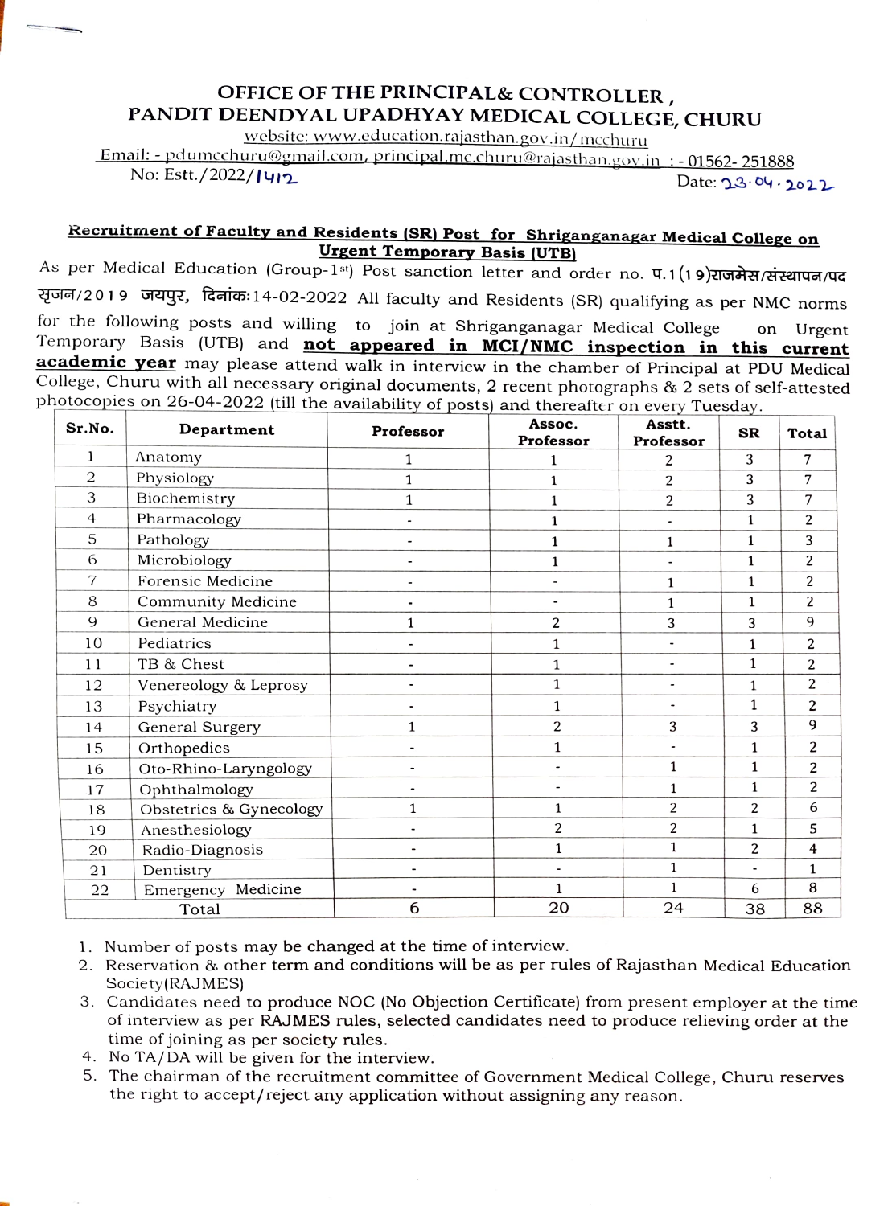## OFFICE OF THE PRINCIPAL& CONTROLLER, PANDIT DEENDYAL UPADHYAY MEDICAL COLLEGE, CHURU

website: www.education.rajasthan.gov.in/ mcchuru

Email: - pdumcchuru@gmail.com, principal.mc.churu@rajasthan.gov.in-: - 01562-251888 <u>No: Estt./2022/Iyiz Date: 33.04.2022 Date: 33.04.2022 Date: 3</u>

## Recruitment of Faculty and Residents (SR) Post for Shriganganagar Medical College on Urgent Temporary Basis (UTB)<br>As per Medical Education (Group-1st) Post sanction letter and order no. U.1(19) IGTAR/UETA/UE

शृजन/2019 जयपुर, दिनांक:14-02-2022 All faculty and Residents (SR) qualifying as per NMC norms<br>for the following posts and willing to join at Shriganganagar Medical College on Urgent Temporary Basis (UTB) and not appeared in MCI/NMC inspection in this current on Urgent academic year may please attend walk in interview in the chamber of Principal at PDU Medical College, Churu with all necessary original documents, 2 recent photographs & 2 sets of self-attested photocopies on 26-04-2022 (till the availability of posts) and thereafter on every Tuesday.

| Sr.No. | Department              | Professor    | Assoc.<br>Professor | Asstt.<br>Professor      | <b>SR</b>      | <b>Total</b>   |
|--------|-------------------------|--------------|---------------------|--------------------------|----------------|----------------|
| 1      | Anatomy                 | 1            | 1                   | 2                        | 3              | 7              |
| 2      | Physiology              | $\mathbf{1}$ | 1                   | 2                        | 3              | $\overline{7}$ |
| 3      | Biochemistry            | $\mathbf{1}$ | 1                   | 2                        | 3              | $\overline{7}$ |
| 4      | Pharmacology            |              | 1                   |                          | $\mathbf{1}$   | 2              |
| 5      | Pathology               |              | 1                   | $\mathbf{1}$             | $\mathbf{1}$   | 3              |
| 6      | Microbiology            |              | $\mathbf 1$         |                          | $\mathbf{1}$   | $\overline{c}$ |
| 7      | Forensic Medicine       |              |                     | $\mathbf{1}$             | $\mathbf{1}$   | $\overline{c}$ |
| 8      | Community Medicine      |              |                     | 1                        | $\mathbf{1}$   | $\overline{2}$ |
| 9      | General Medicine        | $\mathbf{1}$ | $\overline{c}$      | 3                        | 3              | 9              |
| 10     | Pediatrics              |              | 1                   |                          | $\mathbf{1}$   | $\overline{2}$ |
| 11     | TB & Chest              |              | $\mathbf{1}$        |                          | $\mathbf{1}$   | 2              |
| 12     | Venereology & Leprosy   |              | $\mathbf{1}$        | $\overline{\phantom{a}}$ | $\mathbf{1}$   | 2              |
| 13     | Psychiatry              |              | $\mathbf{1}$        |                          | 1              | $\overline{c}$ |
| 14     | General Surgery         | $\mathbf{1}$ | 2                   | 3                        | 3              | 9              |
| 15     | Orthopedics             |              | $\mathbf{1}$        | $\overline{\phantom{a}}$ | 1              | 2              |
| 16     | Oto-Rhino-Laryngology   |              |                     | $\mathbf{1}$             | $\mathbf{1}$   | $\overline{2}$ |
| 17     | Ophthalmology           |              |                     | $\mathbf{1}$             | $\mathbf{1}$   | $\overline{c}$ |
| 18     | Obstetrics & Gynecology | 1            | $\mathbf{1}$        | 2                        | 2              | 6              |
| 19     | Anesthesiology          |              | $\overline{c}$      | $\overline{2}$           | 1              | 5              |
| 20     | Radio-Diagnosis         |              | $\mathbf{1}$        | $\mathbf{1}$             | 2              | $\overline{4}$ |
| 21     | Dentistry               |              |                     | $\mathbf{1}$             | $\blacksquare$ | 1              |
| 22     | Emergency Medicine      |              | $\mathbf{1}$        | $\mathbf{1}$             | 6              | 8              |
| Total  |                         | 6            | 20                  | 24                       | 38             | 88             |

- 1. Number of posts may be changed at the time of interview.
- 2. Reservation & other term and conditions will be as per rules of Rajasthan Medical Education Society(RAJMES)
- 3. Candidates need to produce NOC (No Objection Certificate) from present employer at the time of interview as per RAJMES rules, selected candidates need to produce relieving order at the time of joining as per society rules.
- 4. No TA/DA will be given for the interview.
- 5. The chairman of the recruitment committee of Government Medical College, Churu reserves the right to accept/reject any application without assigning any reason.